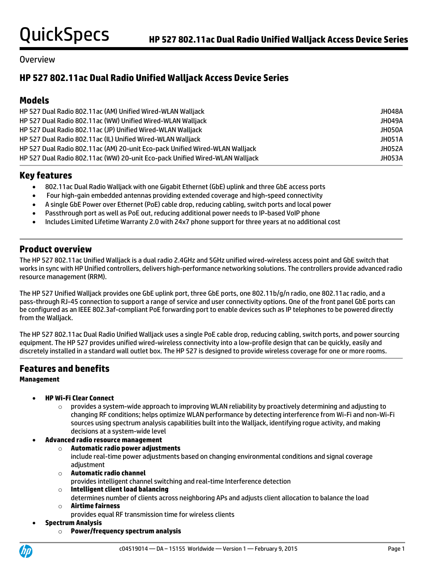# Overview

# **HP 527 802.11ac Dual Radio Unified Walljack Access Device Series**

# **Models**

| HP 527 Dual Radio 802.11ac (AM) Unified Wired-WLAN Walliack                  | JH048A |
|------------------------------------------------------------------------------|--------|
| HP 527 Dual Radio 802.11ac (WW) Unified Wired-WLAN Walliack                  | JH049A |
| HP 527 Dual Radio 802.11ac (JP) Unified Wired-WLAN Walljack                  | JH050A |
| HP 527 Dual Radio 802.11ac (IL) Unified Wired-WLAN Walliack                  | JH051A |
| HP 527 Dual Radio 802.11ac (AM) 20-unit Eco-pack Unified Wired-WLAN Walljack | JH052A |
| HP 527 Dual Radio 802.11ac (WW) 20-unit Eco-pack Unified Wired-WLAN Walljack | JH053A |

# **Key features**

- 802.11ac Dual Radio Walljack with one Gigabit Ethernet (GbE) uplink and three GbE access ports
- Four high-gain embedded antennas providing extended coverage and high-speed connectivity
- A single GbE Power over Ethernet (PoE) cable drop, reducing cabling, switch ports and local power
- Passthrough port as well as PoE out, reducing additional power needs to IP-based VoIP phone
- Includes Limited Lifetime Warranty 2.0 with 24x7 phone support for three years at no additional cost

# **Product overview**

The HP 527 802.11ac Unified Walljack is a dual radio 2.4GHz and 5GHz unified wired-wireless access point and GbE switch that works in sync with HP Unified controllers, delivers high-performance networking solutions. The controllers provide advanced radio resource management (RRM).

The HP 527 Unified Walljack provides one GbE uplink port, three GbE ports, one 802.11b/g/n radio, one 802.11ac radio, and a pass-through RJ-45 connection to support a range of service and user connectivity options. One of the front panel GbE ports can be configured as an IEEE 802.3af-compliant PoE forwarding port to enable devices such as IP telephones to be powered directly from the Walljack.

The HP 527 802.11ac Dual Radio Unified Walljack uses a single PoE cable drop, reducing cabling, switch ports, and power sourcing equipment. The HP 527 provides unified wired-wireless connectivity into a low-profile design that can be quickly, easily and discretely installed in a standard wall outlet box. The HP 527 is designed to provide wireless coverage for one or more rooms.

# **Features and benefits**

# **Management**

- **HP Wi-Fi Clear Connect**
	- $\circ$  provides a system-wide approach to improving WLAN reliability by proactively determining and adjusting to changing RF conditions; helps optimize WLAN performance by detecting interference from Wi-Fi and non-Wi-Fi sources using spectrum analysis capabilities built into the Walljack, identifying rogue activity, and making decisions at a system-wide level
- **Advanced radio resource management**
	- o **Automatic radio power adjustments**
		- include real-time power adjustments based on changing environmental conditions and signal coverage adiustment
	- o **Automatic radio channel**
	- provides intelligent channel switching and real-time Interference detection
	- o **Intelligent client load balancing**
	- determines number of clients across neighboring APs and adjusts client allocation to balance the load o **Airtime fairness**
	- provides equal RF transmission time for wireless clients
- **Spectrum Analysis**
	- o **Power/frequency spectrum analysis**

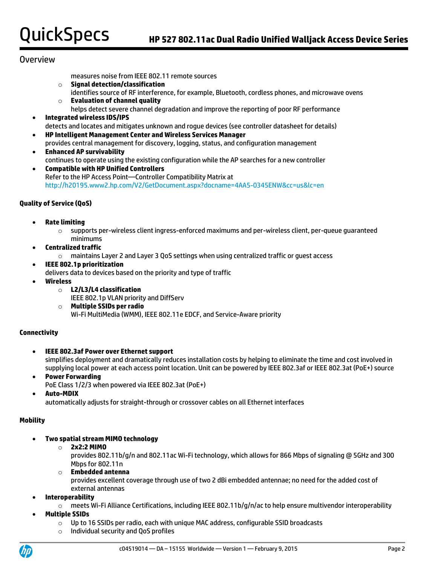# Overview

measures noise from IEEE 802.11 remote sources

- o **Signal detection/classification** identifies source of RF interference, for example, Bluetooth, cordless phones, and microwave ovens
- o **Evaluation of channel quality** helps detect severe channel degradation and improve the reporting of poor RF performance
- **Integrated wireless IDS/IPS** detects and locates and mitigates unknown and rogue devices (see controller datasheet for details)
- **HP Intelligent Management Center and Wireless Services Manager** provides central management for discovery, logging, status, and configuration management
- **Enhanced AP survivability** continues to operate using the existing configuration while the AP searches for a new controller **Compatible with HP Unified Controllers**
- Refer to the HP Access Point—Controller Compatibility Matrix at <http://h20195.www2.hp.com/V2/GetDocument.aspx?docname=4AA5-0345ENW&cc=us&lc=en>

# **Quality of Service (QoS)**

- **Rate limiting**
	- $\circ$  supports per-wireless client ingress-enforced maximums and per-wireless client, per-queue guaranteed minimums
- **Centralized traffic**
	- $\circ$  maintains Layer 2 and Layer 3 QoS settings when using centralized traffic or guest access
- **IEEE 802.1p prioritization**
	- delivers data to devices based on the priority and type of traffic
- **Wireless**
	- o **L2/L3/L4 classification**
		- IEEE 802.1p VLAN priority and DiffServ
	- o **Multiple SSIDs per radio** Wi-Fi MultiMedia (WMM), IEEE 802.11e EDCF, and Service-Aware priority

# **Connectivity**

**IEEE 802.3af Power over Ethernet support**

simplifies deployment and dramatically reduces installation costs by helping to eliminate the time and cost involved in supplying local power at each access point location. Unit can be powered by IEEE 802.3af or IEEE 802.3at (PoE+) source

- **Power Forwarding** PoE Class 1/2/3 when powered via IEEE 802.3at (PoE+)
- **Auto-MDIX**

automatically adjusts for straight-through or crossover cables on all Ethernet interfaces

# **Mobility**

- **Two spatial stream MIMO technology**
	- o **2x2:2 MIMO**

provides 802.11b/g/n and 802.11ac Wi-Fi technology, which allows for 866 Mbps of signaling @ 5GHz and 300 Mbps for 802.11n

o **Embedded antenna**

provides excellent coverage through use of two 2 dBi embedded antennae; no need for the added cost of external antennas

- **Interoperability**
	- $\circ$  meets Wi-Fi Alliance Certifications, including IEEE 802.11b/g/n/ac to help ensure multivendor interoperability
- **Multiple SSIDs**
	- $\circ$  Up to 16 SSIDs per radio, each with unique MAC address, configurable SSID broadcasts
	- o Individual security and QoS profiles

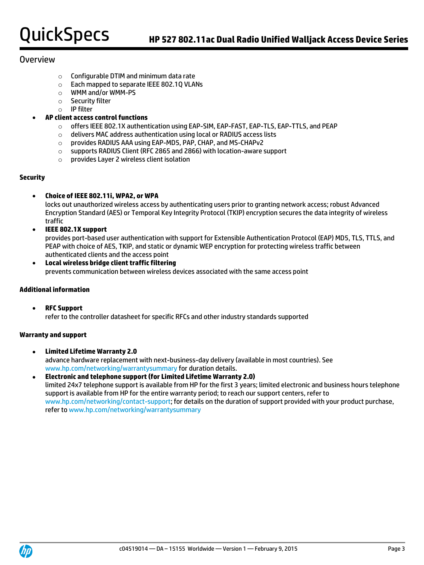# Overview

- o Configurable DTIM and minimum data rate
- o Each mapped to separate IEEE 802.1Q VLANs
- o WMM and/or WMM-PS
- o Security filter
- o IP filter
- **AP client access control functions**
	- o offers IEEE 802.1X authentication using EAP-SIM, EAP-FAST, EAP-TLS, EAP-TTLS, and PEAP
	- o delivers MAC address authentication using local or RADIUS access lists
	- o provides RADIUS AAA using EAP-MD5, PAP, CHAP, and MS-CHAPv2
	- o supports RADIUS Client (RFC 2865 and 2866) with location-aware support
	- o provides Layer 2 wireless client isolation

## **Security**

## **Choice of IEEE 802.11i, WPA2, or WPA**

locks out unauthorized wireless access by authenticating users prior to granting network access; robust Advanced Encryption Standard (AES) or Temporal Key Integrity Protocol (TKIP) encryption secures the data integrity of wireless traffic

**IEEE 802.1X support**

provides port-based user authentication with support for Extensible Authentication Protocol (EAP) MD5, TLS, TTLS, and PEAP with choice of AES, TKIP, and static or dynamic WEP encryption for protecting wireless traffic between authenticated clients and the access point

 **Local wireless bridge client traffic filtering** prevents communication between wireless devices associated with the same access point

# **Additional information**

**RFC Support**

refer to the controller datasheet for specific RFCs and other industry standards supported

## **Warranty and support**

- **Limited Lifetime Warranty 2.0** advance hardware replacement with next-business-day delivery (available in most countries). See [www.hp.com/networking/warrantysummary](http://www.hp.com/networking/warrantysummary) for duration details.
- **Electronic and telephone support (for Limited Lifetime Warranty 2.0)** limited 24x7 telephone support is available from HP for the first 3 years; limited electronic and business hours telephone support is available from HP for the entire warranty period; to reach our support centers, refer to [www.hp.com/networking/contact-support;](http://www.hp.com/networking/contact-support) for details on the duration of support provided with your product purchase, refer t[o www.hp.com/networking/warrantysummary](http://www.hp.com/networking/warrantysummary)

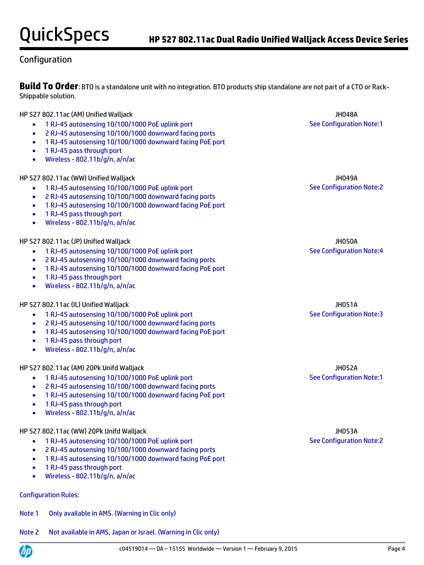# Configuration

**Build To Order**: BTO is a standalone unit with no integration. BTO products ship standalone are not part of a CTO or Rack-Shippable solution.

HP 527 802.11ac (AM) Unified Walljack JH048A

- 1 RJ-45 autosensing 10/100/1000 PoE uplink port
- 2 RJ-45 autosensing 10/100/1000 downward facing ports
- 1 RJ-45 autosensing 10/100/1000 downward facing PoE port
- 1 RJ-45 pass through port
- $\bullet$  Wireless 802.11b/g/n, a/n/ac

## HP 527 802.11ac (WW) Unified Walljack JH049A

- 1 RJ-45 autosensing 10/100/1000 PoE uplink port
- 2 RJ-45 autosensing 10/100/1000 downward facing ports
- 1 RJ-45 autosensing 10/100/1000 downward facing PoE port
- 1 RJ-45 pass through port
- Wireless 802.11b/g/n, a/n/ac

## HP 527 802.11ac (JP) Unified Walljack JH050A

- 1 RJ-45 autosensing 10/100/1000 PoE uplink port
- 2 RJ-45 autosensing 10/100/1000 downward facing ports
- 1 RJ-45 autosensing 10/100/1000 downward facing PoE port
- 1 RJ-45 pass through port
- Wireless 802.11b/g/n, a/n/ac

# HP 527 802.11ac (IL) Unified Walljack JH051A

- 1 RJ-45 autosensing 10/100/1000 PoE uplink port
- 2 RJ-45 autosensing 10/100/1000 downward facing ports
- 1 RJ-45 autosensing 10/100/1000 downward facing PoE port
- 1 RJ-45 pass through port
- Wireless 802.11b/g/n, a/n/ac

## HP 527 802.11ac (AM) 20Pk Unifd Walljack JH052A

- 1 RJ-45 autosensing 10/100/1000 PoE uplink port
- 2 RJ-45 autosensing 10/100/1000 downward facing ports
- 1 RJ-45 autosensing 10/100/1000 downward facing PoE port
- 1 RJ-45 pass through port
- Wireless 802.11b/g/n, a/n/ac

## HP 527 802.11ac (WW) 20Pk Unifd Walljack JH053A

- 1 RJ-45 autosensing 10/100/1000 PoE uplink port
- 2 RJ-45 autosensing 10/100/1000 downward facing ports
- 1 RJ-45 autosensing 10/100/1000 downward facing PoE port
- 1 RJ-45 pass through port
- Wireless 802.11b/g/n, a/n/ac

# Configuration Rules:

Note 1 Only available in AMS. (Warning in Clic only)

Note 2 Not available in AMS, Japan or Israel. (Warning in Clic only)

See Configuration Note:1

See Configuration Note:2

See Configuration Note:4

See Configuration Note:3

See Configuration Note:1

See Configuration Note:2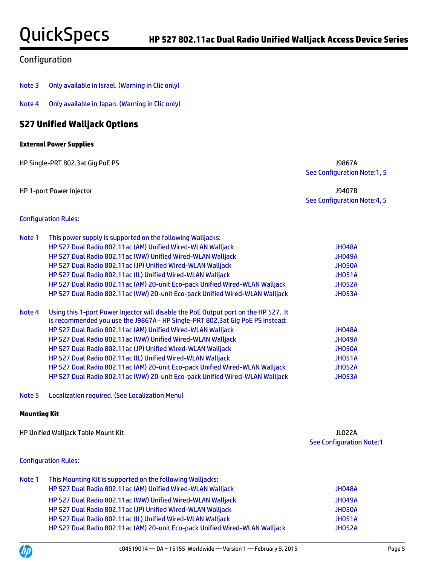# Configuration

Note 3 Only available in Israel. (Warning in Clic only)

Note 4 Only available in Japan. (Warning in Clic only)

# **527 Unified Walljack Options**

## **External Power Supplies**

HP Single-PRT 802.3at Gig PoE PS **State State State State State State State State State State State State State State State State State State State State State State State State State State State State State State State St** 

See Configuration Note:1, 5

### HP 1-port Power Injector J9407B

See Configuration Note:4, 5

## Configuration Rules:

| Note 1 | This power supply is supported on the following Walljacks:                                                                                                           |               |  |  |
|--------|----------------------------------------------------------------------------------------------------------------------------------------------------------------------|---------------|--|--|
|        | HP 527 Dual Radio 802.11ac (AM) Unified Wired-WLAN Walljack                                                                                                          | <b>JH048A</b> |  |  |
|        | HP 527 Dual Radio 802.11ac (WW) Unified Wired-WLAN Walljack                                                                                                          | <b>JH049A</b> |  |  |
|        | HP 527 Dual Radio 802.11ac (JP) Unified Wired-WLAN Walljack                                                                                                          | <b>JH050A</b> |  |  |
|        | HP 527 Dual Radio 802.11ac (IL) Unified Wired-WLAN Walljack                                                                                                          | <b>JH051A</b> |  |  |
|        | HP 527 Dual Radio 802.11ac (AM) 20-unit Eco-pack Unified Wired-WLAN Walljack                                                                                         | <b>JH052A</b> |  |  |
|        | HP 527 Dual Radio 802.11ac (WW) 20-unit Eco-pack Unified Wired-WLAN Walliack                                                                                         | <b>JH053A</b> |  |  |
| Note 4 | Using this 1-port Power Injector will disable the PoE Output port on the HP 527. It<br>is recommended you use the J9867A - HP Single-PRT 802.3at Gig PoE PS instead: |               |  |  |
|        | HP 527 Dual Radio 802.11ac (AM) Unified Wired-WLAN Walljack                                                                                                          | <b>JH048A</b> |  |  |
|        | HP 527 Dual Radio 802.11ac (WW) Unified Wired-WLAN Walljack                                                                                                          | <b>JH049A</b> |  |  |
|        | HP 527 Dual Radio 802.11ac (JP) Unified Wired-WLAN Walljack                                                                                                          | <b>JH050A</b> |  |  |
|        | HP 527 Dual Radio 802.11ac (IL) Unified Wired-WLAN Walljack                                                                                                          | <b>JH051A</b> |  |  |
|        | HP 527 Dual Radio 802.11ac (AM) 20-unit Eco-pack Unified Wired-WLAN Walljack                                                                                         | <b>JH052A</b> |  |  |
|        | HP 527 Dual Radio 802.11ac (WW) 20-unit Eco-pack Unified Wired-WLAN Walljack                                                                                         | <b>JH053A</b> |  |  |
|        |                                                                                                                                                                      |               |  |  |

## Note 5 Localization required. (See Localization Menu)

## **Mounting Kit**

| HP Unified Walljack Table Mount Kit | <b>JL022A</b>                   |
|-------------------------------------|---------------------------------|
|                                     | <b>See Configuration Note:1</b> |
|                                     |                                 |

## Configuration Rules:

| Note 1 | This Mounting Kit is supported on the following Walliacks:                   |               |  |  |
|--------|------------------------------------------------------------------------------|---------------|--|--|
|        | HP 527 Dual Radio 802.11ac (AM) Unified Wired-WLAN Walljack                  | <b>JH048A</b> |  |  |
|        | HP 527 Dual Radio 802.11ac (WW) Unified Wired-WLAN Walljack                  | <b>JH049A</b> |  |  |
|        | HP 527 Dual Radio 802.11ac (JP) Unified Wired-WLAN Walljack                  | <b>JH050A</b> |  |  |
|        | HP 527 Dual Radio 802.11ac (IL) Unified Wired-WLAN Walljack                  | <b>JH051A</b> |  |  |
|        | HP 527 Dual Radio 802.11ac (AM) 20-unit Eco-pack Unified Wired-WLAN Walljack | <b>JH052A</b> |  |  |

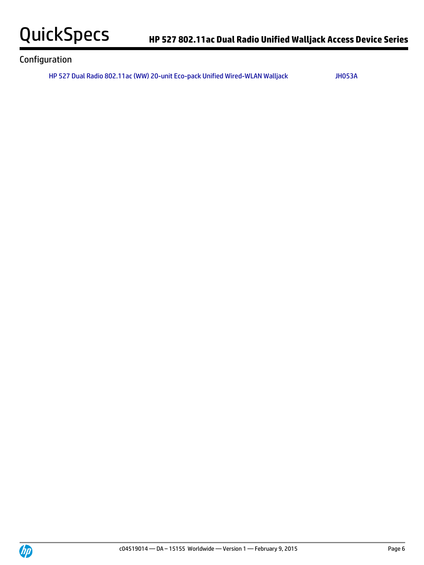# Configuration

HP 527 Dual Radio 802.11ac (WW) 20-unit Eco-pack Unified Wired-WLAN Walljack JH053A

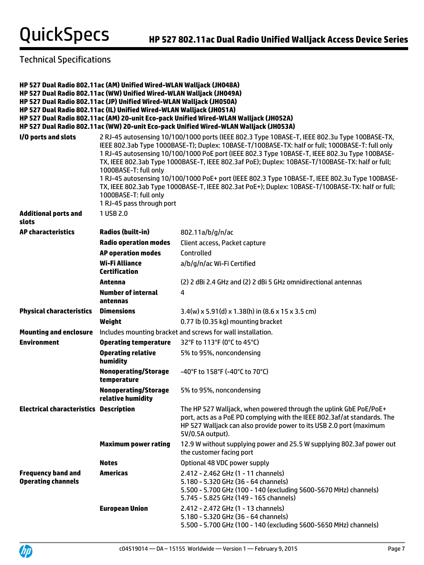|                                                        | HP 527 Dual Radio 802.11ac (AM) Unified Wired-WLAN Walljack (JH048A)<br>HP 527 Dual Radio 802.11ac (WW) Unified Wired-WLAN Walljack (JH049A)<br>HP 527 Dual Radio 802.11ac (JP) Unified Wired-WLAN Walljack (JH050A)<br>HP 527 Dual Radio 802.11ac (IL) Unified Wired-WLAN Walljack (JH051A)                                                                                                                                                                                                                                                                                                                                                                                              | HP 527 Dual Radio 802.11ac (AM) 20-unit Eco-pack Unified Wired-WLAN Walljack (JH052A)<br>HP 527 Dual Radio 802.11ac (WW) 20-unit Eco-pack Unified Wired-WLAN Walljack (JH053A)                                                           |  |
|--------------------------------------------------------|-------------------------------------------------------------------------------------------------------------------------------------------------------------------------------------------------------------------------------------------------------------------------------------------------------------------------------------------------------------------------------------------------------------------------------------------------------------------------------------------------------------------------------------------------------------------------------------------------------------------------------------------------------------------------------------------|------------------------------------------------------------------------------------------------------------------------------------------------------------------------------------------------------------------------------------------|--|
| I/O ports and slots                                    | 2 RJ-45 autosensing 10/100/1000 ports (IEEE 802.3 Type 10BASE-T, IEEE 802.3u Type 100BASE-TX,<br>IEEE 802.3ab Type 1000BASE-T); Duplex: 10BASE-T/100BASE-TX: half or full; 1000BASE-T: full only<br>1 RJ-45 autosensing 10/100/1000 PoE port (IEEE 802.3 Type 10BASE-T, IEEE 802.3u Type 100BASE-<br>TX, IEEE 802.3ab Type 1000BASE-T, IEEE 802.3af PoE); Duplex: 10BASE-T/100BASE-TX: half or full;<br>1000BASE-T: full only<br>1 RJ-45 autosensing 10/100/1000 PoE+ port (IEEE 802.3 Type 10BASE-T, IEEE 802.3u Type 100BASE-<br>TX, IEEE 802.3ab Type 1000BASE-T, IEEE 802.3at PoE+); Duplex: 10BASE-T/100BASE-TX: half or full;<br>1000BASE-T: full only<br>1 RJ-45 pass through port |                                                                                                                                                                                                                                          |  |
| <b>Additional ports and</b><br>slots                   | 1 USB 2.0                                                                                                                                                                                                                                                                                                                                                                                                                                                                                                                                                                                                                                                                                 |                                                                                                                                                                                                                                          |  |
| <b>AP characteristics</b>                              | <b>Radios (built-in)</b>                                                                                                                                                                                                                                                                                                                                                                                                                                                                                                                                                                                                                                                                  | 802.11a/b/g/n/ac                                                                                                                                                                                                                         |  |
|                                                        | <b>Radio operation modes</b>                                                                                                                                                                                                                                                                                                                                                                                                                                                                                                                                                                                                                                                              | Client access, Packet capture                                                                                                                                                                                                            |  |
|                                                        | <b>AP operation modes</b>                                                                                                                                                                                                                                                                                                                                                                                                                                                                                                                                                                                                                                                                 | Controlled                                                                                                                                                                                                                               |  |
|                                                        | <b>Wi-Fi Alliance</b><br><b>Certification</b>                                                                                                                                                                                                                                                                                                                                                                                                                                                                                                                                                                                                                                             | a/b/g/n/ac Wi-Fi Certified                                                                                                                                                                                                               |  |
|                                                        | Antenna                                                                                                                                                                                                                                                                                                                                                                                                                                                                                                                                                                                                                                                                                   | (2) 2 dBi 2.4 GHz and (2) 2 dBi 5 GHz omnidirectional antennas                                                                                                                                                                           |  |
|                                                        | <b>Number of internal</b><br>antennas                                                                                                                                                                                                                                                                                                                                                                                                                                                                                                                                                                                                                                                     | 4                                                                                                                                                                                                                                        |  |
| <b>Physical characteristics</b>                        | <b>Dimensions</b>                                                                                                                                                                                                                                                                                                                                                                                                                                                                                                                                                                                                                                                                         | $3.4(w)$ x 5.91(d) x 1.38(h) in (8.6 x 15 x 3.5 cm)                                                                                                                                                                                      |  |
|                                                        | Weight                                                                                                                                                                                                                                                                                                                                                                                                                                                                                                                                                                                                                                                                                    | 0.77 lb (0.35 kg) mounting bracket                                                                                                                                                                                                       |  |
| <b>Mounting and enclosure</b>                          | Includes mounting bracket and screws for wall installation.                                                                                                                                                                                                                                                                                                                                                                                                                                                                                                                                                                                                                               |                                                                                                                                                                                                                                          |  |
| <b>Environment</b>                                     | <b>Operating temperature</b><br>32°F to 113°F (0°C to 45°C)                                                                                                                                                                                                                                                                                                                                                                                                                                                                                                                                                                                                                               |                                                                                                                                                                                                                                          |  |
|                                                        | <b>Operating relative</b><br>humidity                                                                                                                                                                                                                                                                                                                                                                                                                                                                                                                                                                                                                                                     | 5% to 95%, noncondensing                                                                                                                                                                                                                 |  |
|                                                        | <b>Nonoperating/Storage</b><br>temperature                                                                                                                                                                                                                                                                                                                                                                                                                                                                                                                                                                                                                                                | -40°F to 158°F (-40°C to 70°C)                                                                                                                                                                                                           |  |
|                                                        | <b>Nonoperating/Storage</b><br>relative humidity                                                                                                                                                                                                                                                                                                                                                                                                                                                                                                                                                                                                                                          | 5% to 95%, noncondensing                                                                                                                                                                                                                 |  |
| <b>Electrical characteristics Description</b>          |                                                                                                                                                                                                                                                                                                                                                                                                                                                                                                                                                                                                                                                                                           | The HP 527 Walljack, when powered through the uplink GbE PoE/PoE+<br>port, acts as a PoE PD complying with the IEEE 802.3af/at standards. The<br>HP 527 Walljack can also provide power to its USB 2.0 port (maximum<br>5V/0.5A output). |  |
|                                                        | <b>Maximum power rating</b>                                                                                                                                                                                                                                                                                                                                                                                                                                                                                                                                                                                                                                                               | 12.9 W without supplying power and 25.5 W supplying 802.3af power out<br>the customer facing port                                                                                                                                        |  |
|                                                        | <b>Notes</b>                                                                                                                                                                                                                                                                                                                                                                                                                                                                                                                                                                                                                                                                              | Optional 48 VDC power supply                                                                                                                                                                                                             |  |
| <b>Frequency band and</b><br><b>Operating channels</b> | <b>Americas</b>                                                                                                                                                                                                                                                                                                                                                                                                                                                                                                                                                                                                                                                                           | 2.412 - 2.462 GHz (1 - 11 channels)<br>5.180 - 5.320 GHz (36 - 64 channels)<br>5.500 - 5.700 GHz (100 - 140 (excluding 5600-5670 MHz) channels)<br>5.745 - 5.825 GHz (149 - 165 channels)                                                |  |
|                                                        | <b>European Union</b>                                                                                                                                                                                                                                                                                                                                                                                                                                                                                                                                                                                                                                                                     | 2.412 - 2.472 GHz (1 - 13 channels)<br>5.180 - 5.320 GHz (36 - 64 channels)<br>5.500 - 5.700 GHz (100 - 140 (excluding 5600-5650 MHz) channels)                                                                                          |  |

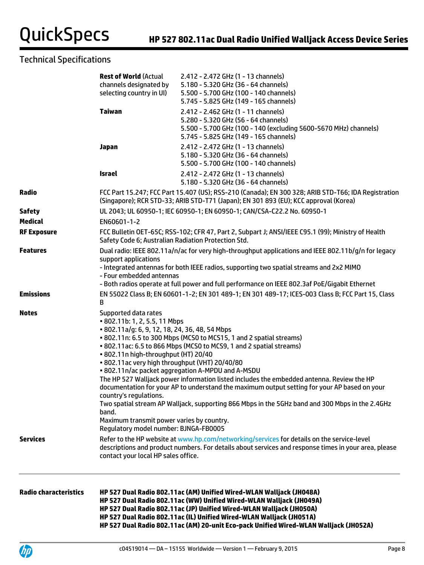| Radio characteristics |                                                                                                                                                                                                                                                                                                                                                     | HP 527 Dual Radio 802.11ac (AM) Unified Wired-WLAN Walljack (JH048A)<br>HP 527 Dual Radio 802.11ac (WW) Unified Wired-WLAN Walljack (JH049A)<br>HP 527 Dual Radio 802.11ac (JP) Unified Wired-WLAN Walljack (JH050A)<br>HP 527 Dual Radio 802.11ac (IL) Unified Wired-WLAN Walljack (JH051A)<br>HP 527 Dual Radio 802.11ac (AM) 20-unit Eco-pack Unified Wired-WLAN Walljack (JH052A) |  |
|-----------------------|-----------------------------------------------------------------------------------------------------------------------------------------------------------------------------------------------------------------------------------------------------------------------------------------------------------------------------------------------------|---------------------------------------------------------------------------------------------------------------------------------------------------------------------------------------------------------------------------------------------------------------------------------------------------------------------------------------------------------------------------------------|--|
| Services              | contact your local HP sales office.                                                                                                                                                                                                                                                                                                                 | Refer to the HP website at www.hp.com/networking/services for details on the service-level<br>descriptions and product numbers. For details about services and response times in your area, please                                                                                                                                                                                    |  |
|                       | country's regulations.<br>band.<br>Maximum transmit power varies by country.<br>Regulatory model number: BJNGA-FB0005                                                                                                                                                                                                                               | . 802.11n/ac packet aggregation A-MPDU and A-MSDU<br>The HP 527 Walljack power information listed includes the embedded antenna. Review the HP<br>documentation for your AP to understand the maximum output setting for your AP based on your<br>Two spatial stream AP Walljack, supporting 866 Mbps in the 5GHz band and 300 Mbps in the 2.4GHz                                     |  |
| Notes                 | Supported data rates<br>• 802.11b: 1, 2, 5.5, 11 Mbps<br>• 802.11a/g: 6, 9, 12, 18, 24, 36, 48, 54 Mbps<br>. 802.11n high-throughput (HT) 20/40<br>. 802.11ac very high throughput (VHT) 20/40/80                                                                                                                                                   | • 802.11n: 6.5 to 300 Mbps (MCS0 to MCS15, 1 and 2 spatial streams)<br>• 802.11ac: 6.5 to 866 Mbps (MCS0 to MCS9, 1 and 2 spatial streams)                                                                                                                                                                                                                                            |  |
| Emissions             | B                                                                                                                                                                                                                                                                                                                                                   | EN 55022 Class B; EN 60601-1-2; EN 301 489-1; EN 301 489-17; ICES-003 Class B; FCC Part 15, Class                                                                                                                                                                                                                                                                                     |  |
| Features              | Dual radio: IEEE 802.11a/n/ac for very high-throughput applications and IEEE 802.11b/g/n for legacy<br>support applications<br>- Integrated antennas for both IEEE radios, supporting two spatial streams and 2x2 MIMO<br>- Four embedded antennas<br>- Both radios operate at full power and full performance on IEEE 802.3af PoE/Gigabit Ethernet |                                                                                                                                                                                                                                                                                                                                                                                       |  |
| <b>RF Exposure</b>    | Safety Code 6; Australian Radiation Protection Std.                                                                                                                                                                                                                                                                                                 | FCC Bulletin OET-65C; RSS-102; CFR 47, Part 2, Subpart J; ANSI/IEEE C95.1 (99); Ministry of Health                                                                                                                                                                                                                                                                                    |  |
| Medical               | EN60601-1-2                                                                                                                                                                                                                                                                                                                                         |                                                                                                                                                                                                                                                                                                                                                                                       |  |
| Safety                |                                                                                                                                                                                                                                                                                                                                                     | UL 2043; UL 60950-1; IEC 60950-1; EN 60950-1; CAN/CSA-C22.2 No. 60950-1                                                                                                                                                                                                                                                                                                               |  |
| Radio                 |                                                                                                                                                                                                                                                                                                                                                     | 5.180 - 5.320 GHz (36 - 64 channels)<br>FCC Part 15.247; FCC Part 15.407 (US); RSS-210 (Canada); EN 300 328; ARIB STD-T66; IDA Registration<br>(Singapore); RCR STD-33; ARIB STD-T71 (Japan); EN 301 893 (EU); KCC approval (Korea)                                                                                                                                                   |  |
|                       | Japan<br><b>Israel</b>                                                                                                                                                                                                                                                                                                                              | 2.412 - 2.472 GHz (1 - 13 channels)<br>5.180 - 5.320 GHz (36 - 64 channels)<br>5.500 - 5.700 GHz (100 - 140 channels)<br>2.412 - 2.472 GHz (1 - 13 channels)                                                                                                                                                                                                                          |  |
|                       | <b>Taiwan</b>                                                                                                                                                                                                                                                                                                                                       | 2.412 - 2.462 GHz (1 - 11 channels)<br>5.280 - 5.320 GHz (56 - 64 channels)<br>5.500 - 5.700 GHz (100 - 140 (excluding 5600-5670 MHz) channels)<br>5.745 - 5.825 GHz (149 - 165 channels)                                                                                                                                                                                             |  |
|                       | <b>Rest of World (Actual</b><br>channels designated by<br>selecting country in UI)                                                                                                                                                                                                                                                                  | 2.412 - 2.472 GHz (1 - 13 channels)<br>5.180 - 5.320 GHz (36 - 64 channels)<br>5.500 - 5.700 GHz (100 - 140 channels)<br>5.745 - 5.825 GHz (149 - 165 channels)                                                                                                                                                                                                                       |  |

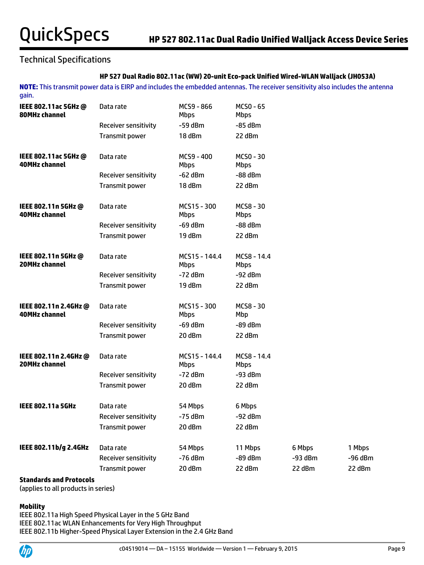# **HP 527 Dual Radio 802.11ac (WW) 20-unit Eco-pack Unified Wired-WLAN Walljack (JH053A)**

**NOTE:** This transmit power data is EIRP and includes the embedded antennas. The receiver sensitivity also includes the antenna gain.

| IEEE 802.11ac 5GHz @<br>80MHz channel         | Data rate                   | MCS9 - 866<br><b>Mbps</b>    | MCSO - 65<br><b>Mbps</b>   |         |         |
|-----------------------------------------------|-----------------------------|------------------------------|----------------------------|---------|---------|
|                                               | <b>Receiver sensitivity</b> | $-59$ dBm                    | $-85$ dBm                  |         |         |
|                                               | <b>Transmit power</b>       | 18 dBm                       | 22 dBm                     |         |         |
| IEEE 802.11ac 5GHz @                          | Data rate                   | MCS9 - 400                   | MCSO - 30                  |         |         |
| <b>40MHz channel</b>                          |                             | <b>Mbps</b>                  | <b>Mbps</b>                |         |         |
|                                               | <b>Receiver sensitivity</b> | $-62$ dBm                    | $-88$ dBm                  |         |         |
|                                               | <b>Transmit power</b>       | 18 dBm                       | 22 dBm                     |         |         |
| IEEE 802.11n 5GHz @                           | Data rate                   | MCS15 - 300                  | MCS8 - 30                  |         |         |
| <b>40MHz channel</b>                          |                             | <b>Mbps</b>                  | <b>Mbps</b>                |         |         |
|                                               | <b>Receiver sensitivity</b> | $-69$ dBm                    | $-88$ dBm                  |         |         |
|                                               | Transmit power              | 19 dBm                       | 22 dBm                     |         |         |
| IEEE 802.11n 5GHz @<br>20MHz channel          | Data rate                   | MCS15 - 144.4<br><b>Mbps</b> | MCS8 - 14.4<br>Mbps        |         |         |
|                                               | <b>Receiver sensitivity</b> | $-72$ dBm                    | $-92$ dBm                  |         |         |
|                                               | <b>Transmit power</b>       | 19dBm                        | 22 dBm                     |         |         |
| IEEE 802.11n 2.4GHz @<br><b>40MHz channel</b> | Data rate                   | MCS15 - 300<br><b>Mbps</b>   | MCS8 - 30<br>Mbp           |         |         |
|                                               | Receiver sensitivity        | $-69$ dBm                    | $-89$ dBm                  |         |         |
|                                               | <b>Transmit power</b>       | 20 dBm                       | 22 dBm                     |         |         |
| IEEE 802.11n 2.4GHz @<br>20MHz channel        | Data rate                   | MCS15 - 144.4<br><b>Mbps</b> | MCS8 - 14.4<br><b>Mbps</b> |         |         |
|                                               | Receiver sensitivity        | $-72$ dBm                    | $-93$ dBm                  |         |         |
|                                               | Transmit power              | 20 dBm                       | 22 dBm                     |         |         |
| <b>IEEE 802.11a 5GHz</b>                      | Data rate                   | 54 Mbps                      | 6 Mbps                     |         |         |
|                                               | <b>Receiver sensitivity</b> | $-75$ dBm                    | $-92$ dBm                  |         |         |
|                                               | <b>Transmit power</b>       | 20 dBm                       | 22 dBm                     |         |         |
| IEEE 802.11b/g 2.4GHz                         | Data rate                   | 54 Mbps                      | 11 Mbps                    | 6 Mbps  | 1 Mbps  |
|                                               | Receiver sensitivity        | $-76$ dBm                    | $-89$ dBm                  | -93 dBm | -96 dBm |
|                                               | <b>Transmit power</b>       | 20 dBm                       | 22 dBm                     | 22 dBm  | 22 dBm  |
|                                               |                             |                              |                            |         |         |

## **Standards and Protocols**

(applies to all products in series)

## **Mobility**

IEEE 802.11a High Speed Physical Layer in the 5 GHz Band IEEE 802.11ac WLAN Enhancements for Very High Throughput IEEE 802.11b Higher-Speed Physical Layer Extension in the 2.4 GHz Band

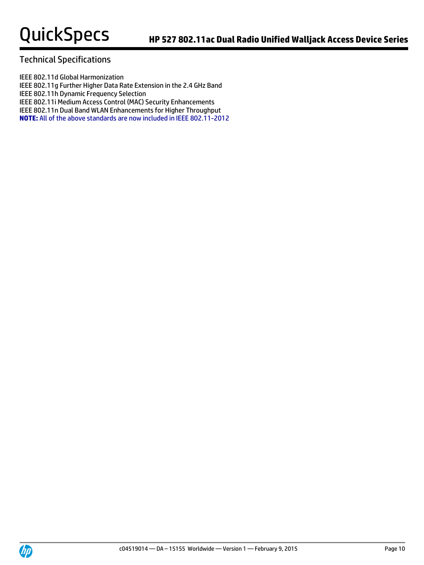IEEE 802.11d Global Harmonization

IEEE 802.11g Further Higher Data Rate Extension in the 2.4 GHz Band

IEEE 802.11h Dynamic Frequency Selection

IEEE 802.11i Medium Access Control (MAC) Security Enhancements

IEEE 802.11n Dual Band WLAN Enhancements for Higher Throughput

**NOTE:** All of the above standards are now included in IEEE 802.11-2012